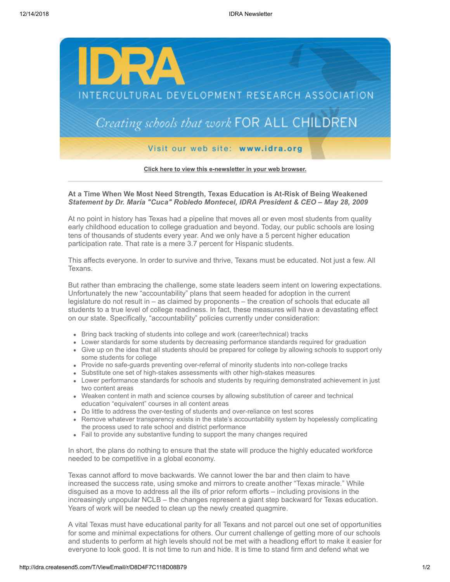

**[Click here to view this e-newsletter in your web browser.](http://idra.createsend1.com/t/r/e/tuiltr/l/)**

## **At a Time When We Most Need Strength, Texas Education is At-Risk of Being Weakened** *Statement by Dr. María "Cuca" Robledo Montecel, IDRA President & CEO – May 28, 2009*

At no point in history has Texas had a pipeline that moves all or even most students from quality early childhood education to college graduation and beyond. Today, our public schools are losing tens of thousands of students every year. And we only have a 5 percent higher education participation rate. That rate is a mere 3.7 percent for Hispanic students.

This affects everyone. In order to survive and thrive, Texans must be educated. Not just a few. All Texans.

But rather than embracing the challenge, some state leaders seem intent on lowering expectations. Unfortunately the new "accountability" plans that seem headed for adoption in the current legislature do not result in – as claimed by proponents – the creation of schools that educate all students to a true level of college readiness. In fact, these measures will have a devastating effect on our state. Specifically, "accountability" policies currently under consideration:

- Bring back tracking of students into college and work (career/technical) tracks
- Lower standards for some students by decreasing performance standards required for graduation
- Give up on the idea that all students should be prepared for college by allowing schools to support only some students for college
- Provide no safe-guards preventing over-referral of minority students into non-college tracks
- Substitute one set of high-stakes assessments with other high-stakes measures
- Lower performance standards for schools and students by requiring demonstrated achievement in just two content areas
- Weaken content in math and science courses by allowing substitution of career and technical education "equivalent" courses in all content areas
- Do little to address the over-testing of students and over-reliance on test scores
- Remove whatever transparency exists in the state's accountability system by hopelessly complicating the process used to rate school and district performance
- Fail to provide any substantive funding to support the many changes required

In short, the plans do nothing to ensure that the state will produce the highly educated workforce needed to be competitive in a global economy.

Texas cannot afford to move backwards. We cannot lower the bar and then claim to have increased the success rate, using smoke and mirrors to create another "Texas miracle." While disguised as a move to address all the ills of prior reform efforts – including provisions in the increasingly unpopular NCLB – the changes represent a giant step backward for Texas education. Years of work will be needed to clean up the newly created quagmire.

A vital Texas must have educational parity for all Texans and not parcel out one set of opportunities for some and minimal expectations for others. Our current challenge of getting more of our schools and students to perform at high levels should not be met with a headlong effort to make it easier for everyone to look good. It is not time to run and hide. It is time to stand firm and defend what we